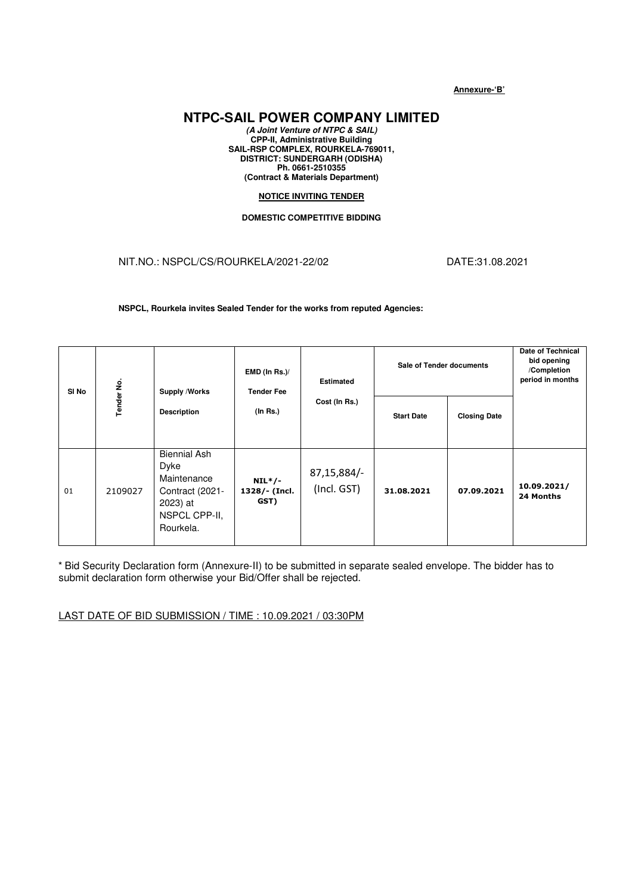**Annexure-'B'**

## **NTPC-SAIL POWER COMPANY LIMITED**

**(A Joint Venture of NTPC & SAIL) CPP-II, Administrative Building SAIL-RSP COMPLEX, ROURKELA-769011, DISTRICT: SUNDERGARH (ODISHA) Ph. 0661-2510355 (Contract & Materials Department)** 

## **NOTICE INVITING TENDER**

## **DOMESTIC COMPETITIVE BIDDING**

## NIT.NO.: NSPCL/CS/ROURKELA/2021-22/02 DATE:31.08.2021

**NSPCL, Rourkela invites Sealed Tender for the works from reputed Agencies:** 

| SI <sub>No</sub> | Tender No. | Supply /Works<br><b>Description</b>                                                                     | $EMD$ (In Rs.)/<br><b>Tender Fee</b><br>(In Rs.) | <b>Estimated</b><br>Cost (In Rs.) | <b>Sale of Tender documents</b> |                     | <b>Date of Technical</b><br>bid opening<br>/Completion<br>period in months |
|------------------|------------|---------------------------------------------------------------------------------------------------------|--------------------------------------------------|-----------------------------------|---------------------------------|---------------------|----------------------------------------------------------------------------|
|                  |            |                                                                                                         |                                                  |                                   | <b>Start Date</b>               | <b>Closing Date</b> |                                                                            |
| 01               | 2109027    | <b>Biennial Ash</b><br>Dyke<br>Maintenance<br>Contract (2021-<br>2023) at<br>NSPCL CPP-II,<br>Rourkela. | $NIL*/-$<br>1328/- (Incl.<br>GST)                | 87,15,884/-<br>(Incl. GST)        | 31.08.2021                      | 07.09.2021          | 10.09.2021/<br>24 Months                                                   |

 \* Bid Security Declaration form (Annexure-II) to be submitted in separate sealed envelope. The bidder has to submit declaration form otherwise your Bid/Offer shall be rejected.

LAST DATE OF BID SUBMISSION / TIME : 10.09.2021 / 03:30PM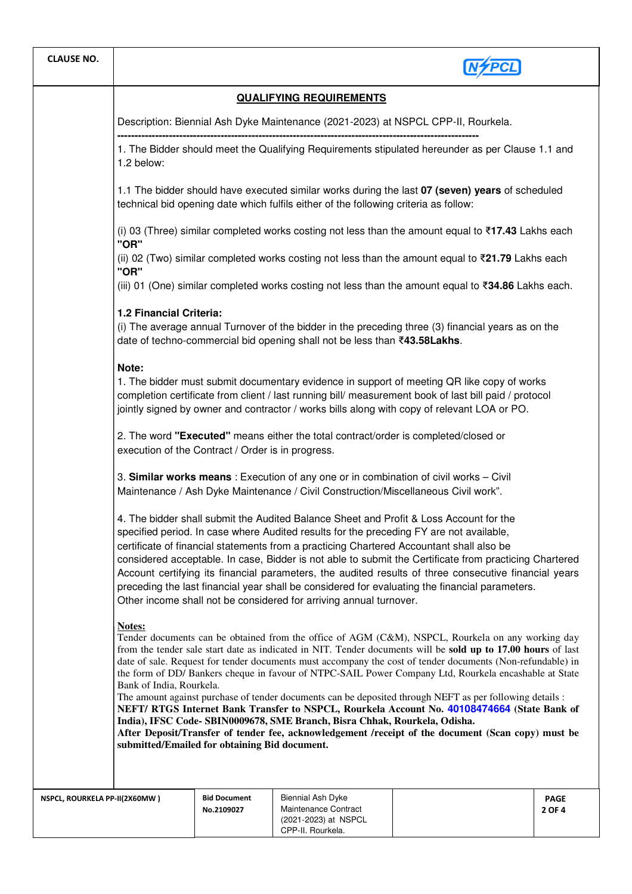| <b>CLAUSE NO.</b>                                                                                                                                                                                                                                                                                                                                                                                                                                                                                                                                                                                                                                                                                                                                                                                                                                                                                                            |                                                                                                                                                                                                                                                                                                                                                                                                                                                                                                                                                                                                                                                                                                                                                                                                                                                                                                                                                                                                     |                                   |                                                                                        |  |                       |  |  |
|------------------------------------------------------------------------------------------------------------------------------------------------------------------------------------------------------------------------------------------------------------------------------------------------------------------------------------------------------------------------------------------------------------------------------------------------------------------------------------------------------------------------------------------------------------------------------------------------------------------------------------------------------------------------------------------------------------------------------------------------------------------------------------------------------------------------------------------------------------------------------------------------------------------------------|-----------------------------------------------------------------------------------------------------------------------------------------------------------------------------------------------------------------------------------------------------------------------------------------------------------------------------------------------------------------------------------------------------------------------------------------------------------------------------------------------------------------------------------------------------------------------------------------------------------------------------------------------------------------------------------------------------------------------------------------------------------------------------------------------------------------------------------------------------------------------------------------------------------------------------------------------------------------------------------------------------|-----------------------------------|----------------------------------------------------------------------------------------|--|-----------------------|--|--|
| <b>QUALIFYING REQUIREMENTS</b>                                                                                                                                                                                                                                                                                                                                                                                                                                                                                                                                                                                                                                                                                                                                                                                                                                                                                               |                                                                                                                                                                                                                                                                                                                                                                                                                                                                                                                                                                                                                                                                                                                                                                                                                                                                                                                                                                                                     |                                   |                                                                                        |  |                       |  |  |
|                                                                                                                                                                                                                                                                                                                                                                                                                                                                                                                                                                                                                                                                                                                                                                                                                                                                                                                              | Description: Biennial Ash Dyke Maintenance (2021-2023) at NSPCL CPP-II, Rourkela.                                                                                                                                                                                                                                                                                                                                                                                                                                                                                                                                                                                                                                                                                                                                                                                                                                                                                                                   |                                   |                                                                                        |  |                       |  |  |
|                                                                                                                                                                                                                                                                                                                                                                                                                                                                                                                                                                                                                                                                                                                                                                                                                                                                                                                              | 1. The Bidder should meet the Qualifying Requirements stipulated hereunder as per Clause 1.1 and<br>1.2 below:                                                                                                                                                                                                                                                                                                                                                                                                                                                                                                                                                                                                                                                                                                                                                                                                                                                                                      |                                   |                                                                                        |  |                       |  |  |
|                                                                                                                                                                                                                                                                                                                                                                                                                                                                                                                                                                                                                                                                                                                                                                                                                                                                                                                              | 1.1 The bidder should have executed similar works during the last 07 (seven) years of scheduled<br>technical bid opening date which fulfils either of the following criteria as follow:                                                                                                                                                                                                                                                                                                                                                                                                                                                                                                                                                                                                                                                                                                                                                                                                             |                                   |                                                                                        |  |                       |  |  |
|                                                                                                                                                                                                                                                                                                                                                                                                                                                                                                                                                                                                                                                                                                                                                                                                                                                                                                                              | (i) 03 (Three) similar completed works costing not less than the amount equal to ₹17.43 Lakhs each<br>"OR"                                                                                                                                                                                                                                                                                                                                                                                                                                                                                                                                                                                                                                                                                                                                                                                                                                                                                          |                                   |                                                                                        |  |                       |  |  |
|                                                                                                                                                                                                                                                                                                                                                                                                                                                                                                                                                                                                                                                                                                                                                                                                                                                                                                                              | (ii) 02 (Two) similar completed works costing not less than the amount equal to ₹21.79 Lakhs each<br>"OR"                                                                                                                                                                                                                                                                                                                                                                                                                                                                                                                                                                                                                                                                                                                                                                                                                                                                                           |                                   |                                                                                        |  |                       |  |  |
|                                                                                                                                                                                                                                                                                                                                                                                                                                                                                                                                                                                                                                                                                                                                                                                                                                                                                                                              | (iii) 01 (One) similar completed works costing not less than the amount equal to ₹34.86 Lakhs each.                                                                                                                                                                                                                                                                                                                                                                                                                                                                                                                                                                                                                                                                                                                                                                                                                                                                                                 |                                   |                                                                                        |  |                       |  |  |
|                                                                                                                                                                                                                                                                                                                                                                                                                                                                                                                                                                                                                                                                                                                                                                                                                                                                                                                              | (i) The average annual Turnover of the bidder in the preceding three (3) financial years as on the<br>date of techno-commercial bid opening shall not be less than ₹43.58Lakhs.                                                                                                                                                                                                                                                                                                                                                                                                                                                                                                                                                                                                                                                                                                                                                                                                                     |                                   |                                                                                        |  |                       |  |  |
|                                                                                                                                                                                                                                                                                                                                                                                                                                                                                                                                                                                                                                                                                                                                                                                                                                                                                                                              | Note:<br>1. The bidder must submit documentary evidence in support of meeting QR like copy of works<br>completion certificate from client / last running bill/ measurement book of last bill paid / protocol<br>jointly signed by owner and contractor / works bills along with copy of relevant LOA or PO.                                                                                                                                                                                                                                                                                                                                                                                                                                                                                                                                                                                                                                                                                         |                                   |                                                                                        |  |                       |  |  |
|                                                                                                                                                                                                                                                                                                                                                                                                                                                                                                                                                                                                                                                                                                                                                                                                                                                                                                                              | 2. The word "Executed" means either the total contract/order is completed/closed or<br>execution of the Contract / Order is in progress.<br>3. Similar works means: Execution of any one or in combination of civil works - Civil<br>Maintenance / Ash Dyke Maintenance / Civil Construction/Miscellaneous Civil work".<br>4. The bidder shall submit the Audited Balance Sheet and Profit & Loss Account for the<br>specified period. In case where Audited results for the preceding FY are not available,<br>certificate of financial statements from a practicing Chartered Accountant shall also be<br>considered acceptable. In case, Bidder is not able to submit the Certificate from practicing Chartered<br>Account certifying its financial parameters, the audited results of three consecutive financial years<br>preceding the last financial year shall be considered for evaluating the financial parameters.<br>Other income shall not be considered for arriving annual turnover. |                                   |                                                                                        |  |                       |  |  |
|                                                                                                                                                                                                                                                                                                                                                                                                                                                                                                                                                                                                                                                                                                                                                                                                                                                                                                                              |                                                                                                                                                                                                                                                                                                                                                                                                                                                                                                                                                                                                                                                                                                                                                                                                                                                                                                                                                                                                     |                                   |                                                                                        |  |                       |  |  |
|                                                                                                                                                                                                                                                                                                                                                                                                                                                                                                                                                                                                                                                                                                                                                                                                                                                                                                                              |                                                                                                                                                                                                                                                                                                                                                                                                                                                                                                                                                                                                                                                                                                                                                                                                                                                                                                                                                                                                     |                                   |                                                                                        |  |                       |  |  |
| Notes:<br>Tender documents can be obtained from the office of AGM (C&M), NSPCL, Rourkela on any working day<br>from the tender sale start date as indicated in NIT. Tender documents will be sold up to 17.00 hours of last<br>date of sale. Request for tender documents must accompany the cost of tender documents (Non-refundable) in<br>the form of DD/ Bankers cheque in favour of NTPC-SAIL Power Company Ltd, Rourkela encashable at State<br>Bank of India, Rourkela.<br>The amount against purchase of tender documents can be deposited through NEFT as per following details :<br>NEFT/RTGS Internet Bank Transfer to NSPCL, Rourkela Account No. 40108474664 (State Bank of<br>India), IFSC Code-SBIN0009678, SME Branch, Bisra Chhak, Rourkela, Odisha.<br>After Deposit/Transfer of tender fee, acknowledgement /receipt of the document (Scan copy) must be<br>submitted/Emailed for obtaining Bid document. |                                                                                                                                                                                                                                                                                                                                                                                                                                                                                                                                                                                                                                                                                                                                                                                                                                                                                                                                                                                                     |                                   |                                                                                        |  |                       |  |  |
| NSPCL, ROURKELA PP-II(2X60MW)                                                                                                                                                                                                                                                                                                                                                                                                                                                                                                                                                                                                                                                                                                                                                                                                                                                                                                |                                                                                                                                                                                                                                                                                                                                                                                                                                                                                                                                                                                                                                                                                                                                                                                                                                                                                                                                                                                                     | <b>Bid Document</b><br>No.2109027 | Biennial Ash Dyke<br>Maintenance Contract<br>(2021-2023) at NSPCL<br>CPP-II. Rourkela. |  | <b>PAGE</b><br>2 OF 4 |  |  |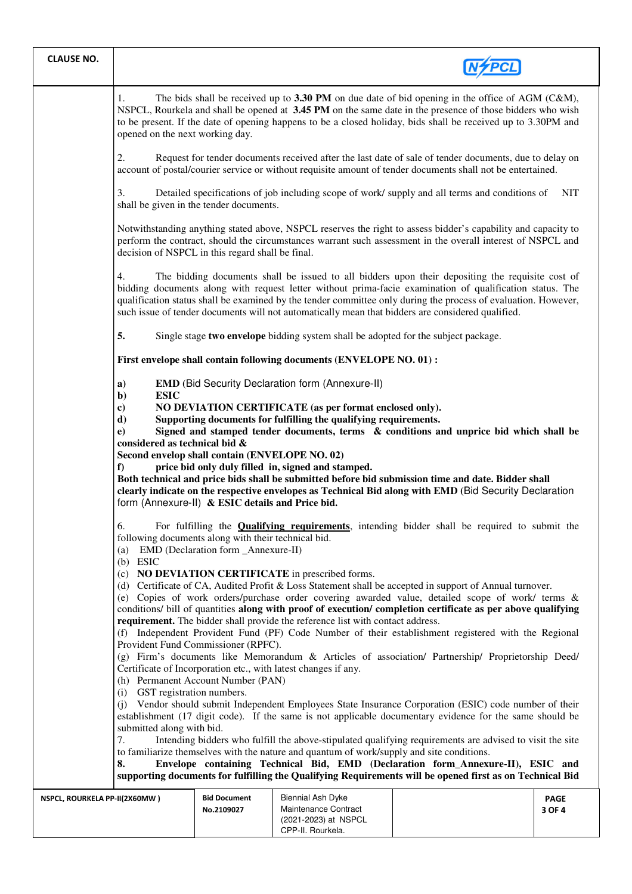| <b>CLAUSE NO.</b>                                                                                                                                                                                                                                                                                                                                                                                                                         |                                                                                                                                                                                                                                                                                                                                                                                                                                                                                                                                                                                                                                                                                                                                                                                                                                                                                                                                                                                                                                                                                                                                                                                                                                                                                                                                                                                                                                                                                                                                                                                                                                                       |                                                                                                                                                                                                                       |                                                  |  |                       |  |  |
|-------------------------------------------------------------------------------------------------------------------------------------------------------------------------------------------------------------------------------------------------------------------------------------------------------------------------------------------------------------------------------------------------------------------------------------------|-------------------------------------------------------------------------------------------------------------------------------------------------------------------------------------------------------------------------------------------------------------------------------------------------------------------------------------------------------------------------------------------------------------------------------------------------------------------------------------------------------------------------------------------------------------------------------------------------------------------------------------------------------------------------------------------------------------------------------------------------------------------------------------------------------------------------------------------------------------------------------------------------------------------------------------------------------------------------------------------------------------------------------------------------------------------------------------------------------------------------------------------------------------------------------------------------------------------------------------------------------------------------------------------------------------------------------------------------------------------------------------------------------------------------------------------------------------------------------------------------------------------------------------------------------------------------------------------------------------------------------------------------------|-----------------------------------------------------------------------------------------------------------------------------------------------------------------------------------------------------------------------|--------------------------------------------------|--|-----------------------|--|--|
|                                                                                                                                                                                                                                                                                                                                                                                                                                           | The bids shall be received up to $3.30$ PM on due date of bid opening in the office of AGM (C&M),<br>1.<br>NSPCL, Rourkela and shall be opened at 3.45 PM on the same date in the presence of those bidders who wish<br>to be present. If the date of opening happens to be a closed holiday, bids shall be received up to 3.30PM and<br>opened on the next working day.                                                                                                                                                                                                                                                                                                                                                                                                                                                                                                                                                                                                                                                                                                                                                                                                                                                                                                                                                                                                                                                                                                                                                                                                                                                                              |                                                                                                                                                                                                                       |                                                  |  |                       |  |  |
|                                                                                                                                                                                                                                                                                                                                                                                                                                           | 2.                                                                                                                                                                                                                                                                                                                                                                                                                                                                                                                                                                                                                                                                                                                                                                                                                                                                                                                                                                                                                                                                                                                                                                                                                                                                                                                                                                                                                                                                                                                                                                                                                                                    | Request for tender documents received after the last date of sale of tender documents, due to delay on<br>account of postal/courier service or without requisite amount of tender documents shall not be entertained. |                                                  |  |                       |  |  |
|                                                                                                                                                                                                                                                                                                                                                                                                                                           | 3.<br>Detailed specifications of job including scope of work/supply and all terms and conditions of<br><b>NIT</b><br>shall be given in the tender documents.<br>Notwithstanding anything stated above, NSPCL reserves the right to assess bidder's capability and capacity to<br>perform the contract, should the circumstances warrant such assessment in the overall interest of NSPCL and<br>decision of NSPCL in this regard shall be final.                                                                                                                                                                                                                                                                                                                                                                                                                                                                                                                                                                                                                                                                                                                                                                                                                                                                                                                                                                                                                                                                                                                                                                                                      |                                                                                                                                                                                                                       |                                                  |  |                       |  |  |
|                                                                                                                                                                                                                                                                                                                                                                                                                                           |                                                                                                                                                                                                                                                                                                                                                                                                                                                                                                                                                                                                                                                                                                                                                                                                                                                                                                                                                                                                                                                                                                                                                                                                                                                                                                                                                                                                                                                                                                                                                                                                                                                       |                                                                                                                                                                                                                       |                                                  |  |                       |  |  |
| The bidding documents shall be issued to all bidders upon their depositing the requisite cost of<br>4.<br>bidding documents along with request letter without prima-facie examination of qualification status. The<br>qualification status shall be examined by the tender committee only during the process of evaluation. However,<br>such issue of tender documents will not automatically mean that bidders are considered qualified. |                                                                                                                                                                                                                                                                                                                                                                                                                                                                                                                                                                                                                                                                                                                                                                                                                                                                                                                                                                                                                                                                                                                                                                                                                                                                                                                                                                                                                                                                                                                                                                                                                                                       |                                                                                                                                                                                                                       |                                                  |  |                       |  |  |
|                                                                                                                                                                                                                                                                                                                                                                                                                                           | 5.<br>Single stage two envelope bidding system shall be adopted for the subject package.                                                                                                                                                                                                                                                                                                                                                                                                                                                                                                                                                                                                                                                                                                                                                                                                                                                                                                                                                                                                                                                                                                                                                                                                                                                                                                                                                                                                                                                                                                                                                              |                                                                                                                                                                                                                       |                                                  |  |                       |  |  |
|                                                                                                                                                                                                                                                                                                                                                                                                                                           | First envelope shall contain following documents (ENVELOPE NO. 01) :<br><b>EMD (Bid Security Declaration form (Annexure-II)</b><br>a)<br><b>ESIC</b><br>$\mathbf{b}$<br>NO DEVIATION CERTIFICATE (as per format enclosed only).<br>$\bf c)$<br>Supporting documents for fulfilling the qualifying requirements.<br>d)<br>Signed and stamped tender documents, terms & conditions and unprice bid which shall be<br>e)<br>considered as technical bid &<br>Second envelop shall contain (ENVELOPE NO. 02)<br>price bid only duly filled in, signed and stamped.<br>f<br>Both technical and price bids shall be submitted before bid submission time and date. Bidder shall<br>clearly indicate on the respective envelopes as Technical Bid along with EMD (Bid Security Declaration<br>form (Annexure-II) & ESIC details and Price bid.<br>For fulfilling the <b>Qualifying requirements</b> , intending bidder shall be required to submit the<br>6.<br>following documents along with their technical bid.<br>EMD (Declaration form _Annexure-II)<br>(a)<br>$(b)$ ESIC<br>(c) NO DEVIATION CERTIFICATE in prescribed forms.<br>(d) Certificate of CA, Audited Profit & Loss Statement shall be accepted in support of Annual turnover.<br>(e) Copies of work orders/purchase order covering awarded value, detailed scope of work/ terms &<br>conditions/ bill of quantities along with proof of execution/ completion certificate as per above qualifying<br>requirement. The bidder shall provide the reference list with contact address.<br>(f) Independent Provident Fund (PF) Code Number of their establishment registered with the Regional |                                                                                                                                                                                                                       |                                                  |  |                       |  |  |
|                                                                                                                                                                                                                                                                                                                                                                                                                                           |                                                                                                                                                                                                                                                                                                                                                                                                                                                                                                                                                                                                                                                                                                                                                                                                                                                                                                                                                                                                                                                                                                                                                                                                                                                                                                                                                                                                                                                                                                                                                                                                                                                       |                                                                                                                                                                                                                       |                                                  |  |                       |  |  |
|                                                                                                                                                                                                                                                                                                                                                                                                                                           |                                                                                                                                                                                                                                                                                                                                                                                                                                                                                                                                                                                                                                                                                                                                                                                                                                                                                                                                                                                                                                                                                                                                                                                                                                                                                                                                                                                                                                                                                                                                                                                                                                                       |                                                                                                                                                                                                                       |                                                  |  |                       |  |  |
|                                                                                                                                                                                                                                                                                                                                                                                                                                           |                                                                                                                                                                                                                                                                                                                                                                                                                                                                                                                                                                                                                                                                                                                                                                                                                                                                                                                                                                                                                                                                                                                                                                                                                                                                                                                                                                                                                                                                                                                                                                                                                                                       |                                                                                                                                                                                                                       |                                                  |  |                       |  |  |
|                                                                                                                                                                                                                                                                                                                                                                                                                                           |                                                                                                                                                                                                                                                                                                                                                                                                                                                                                                                                                                                                                                                                                                                                                                                                                                                                                                                                                                                                                                                                                                                                                                                                                                                                                                                                                                                                                                                                                                                                                                                                                                                       |                                                                                                                                                                                                                       |                                                  |  |                       |  |  |
|                                                                                                                                                                                                                                                                                                                                                                                                                                           | Provident Fund Commissioner (RPFC).<br>(g) Firm's documents like Memorandum & Articles of association/ Partnership/ Proprietorship Deed/<br>Certificate of Incorporation etc., with latest changes if any.                                                                                                                                                                                                                                                                                                                                                                                                                                                                                                                                                                                                                                                                                                                                                                                                                                                                                                                                                                                                                                                                                                                                                                                                                                                                                                                                                                                                                                            |                                                                                                                                                                                                                       |                                                  |  |                       |  |  |
|                                                                                                                                                                                                                                                                                                                                                                                                                                           | (h) Permanent Account Number (PAN)<br>(i) GST registration numbers.<br>Vendor should submit Independent Employees State Insurance Corporation (ESIC) code number of their<br>(i)<br>establishment (17 digit code). If the same is not applicable documentary evidence for the same should be<br>submitted along with bid.<br>Intending bidders who fulfill the above-stipulated qualifying requirements are advised to visit the site<br>7.<br>to familiarize themselves with the nature and quantum of work/supply and site conditions.<br>Envelope containing Technical Bid, EMD (Declaration form_Annexure-II), ESIC and<br>8.<br>supporting documents for fulfilling the Qualifying Requirements will be opened first as on Technical Bid                                                                                                                                                                                                                                                                                                                                                                                                                                                                                                                                                                                                                                                                                                                                                                                                                                                                                                         |                                                                                                                                                                                                                       |                                                  |  |                       |  |  |
|                                                                                                                                                                                                                                                                                                                                                                                                                                           |                                                                                                                                                                                                                                                                                                                                                                                                                                                                                                                                                                                                                                                                                                                                                                                                                                                                                                                                                                                                                                                                                                                                                                                                                                                                                                                                                                                                                                                                                                                                                                                                                                                       |                                                                                                                                                                                                                       |                                                  |  |                       |  |  |
| NSPCL, ROURKELA PP-II(2X60MW)                                                                                                                                                                                                                                                                                                                                                                                                             |                                                                                                                                                                                                                                                                                                                                                                                                                                                                                                                                                                                                                                                                                                                                                                                                                                                                                                                                                                                                                                                                                                                                                                                                                                                                                                                                                                                                                                                                                                                                                                                                                                                       | <b>Bid Document</b><br>No.2109027                                                                                                                                                                                     | <b>Biennial Ash Dyke</b><br>Maintenance Contract |  | <b>PAGE</b><br>3 OF 4 |  |  |

(2021-2023) at NSPCL CPP-II, Rourkela.